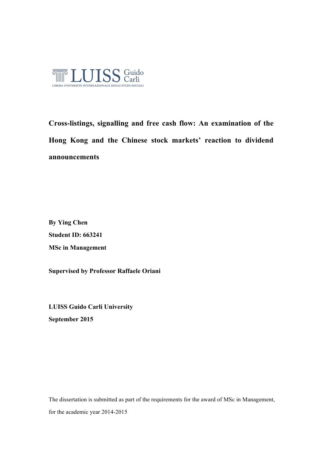

**Cross-listings, signalling and free cash flow: An examination of the Hong Kong and the Chinese stock markets' reaction to dividend announcements**

**By Ying Chen Student ID: 663241 MSc in Management** 

**Supervised by Professor Raffaele Oriani**

**LUISS Guido Carli University September 2015**

The dissertation is submitted as part of the requirements for the award of MSc in Management, for the academic year 2014-2015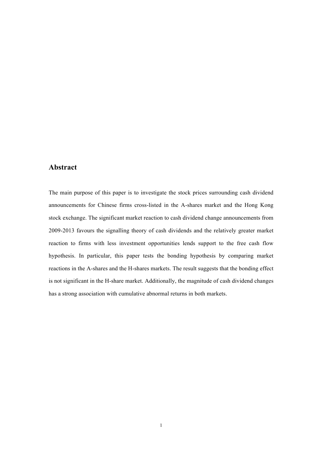## **Abstract**

The main purpose of this paper is to investigate the stock prices surrounding cash dividend announcements for Chinese firms cross-listed in the A-shares market and the Hong Kong stock exchange. The significant market reaction to cash dividend change announcements from 2009-2013 favours the signalling theory of cash dividends and the relatively greater market reaction to firms with less investment opportunities lends support to the free cash flow hypothesis. In particular, this paper tests the bonding hypothesis by comparing market reactions in the A-shares and the H-shares markets. The result suggests that the bonding effect is not significant in the H-share market. Additionally, the magnitude of cash dividend changes has a strong association with cumulative abnormal returns in both markets.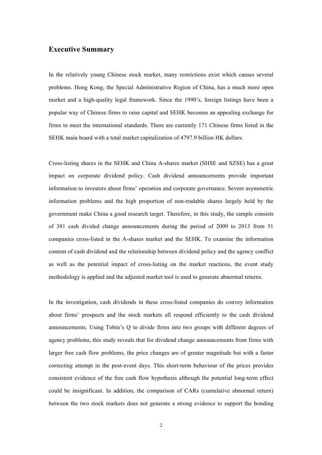## **Executive Summary**

In the relatively young Chinese stock market, many restrictions exist which causes several problems. Hong Kong, the Special Administrative Region of China, has a much more open market and a high-quality legal framework. Since the 1990's, foreign listings have been a popular way of Chinese firms to raise capital and SEHK becomes an appealing exchange for firms to meet the international standards. There are currently 171 Chinese firms listed in the SEHK main board with a total market capitalization of 4797.9 billion HK dollars.

Cross-listing shares in the SEHK and China A-shares market (SHSE and SZSE) has a great impact on corporate dividend policy. Cash dividend announcements provide important information to investors about firms' operation and corporate governance. Severe asymmetric information problems and the high proportion of non-tradable shares largely held by the government make China a good research target. Therefore, in this study, the sample consists of 381 cash divided change announcements during the period of 2009 to 2013 from 51 companies cross-listed in the A-shares market and the SEHK. To examine the information content of cash dividend and the relationship between dividend policy and the agency conflict as well as the potential impact of cross-listing on the market reactions, the event study methodology is applied and the adjusted market tool is used to generate abnormal returns.

In the investigation, cash dividends in these cross-listed companies do convey information about firms' prospects and the stock markets all respond efficiently to the cash dividend announcements. Using Tobin's Q to divide firms into two groups with different degrees of agency problems, this study reveals that for dividend change announcements from firms with larger free cash flow problems, the price changes are of greater magnitude but with a faster correcting attempt in the post-event days. This short-term behaviour of the prices provides consistent evidence of the free cash flow hypothesis although the potential long-term effect could be insignificant. In addition, the comparison of CARs (cumulative abnormal return) between the two stock markets does not generate a strong evidence to support the bonding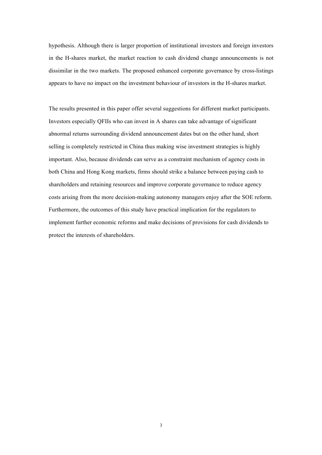hypothesis. Although there is larger proportion of institutional investors and foreign investors in the H-shares market, the market reaction to cash dividend change announcements is not dissimilar in the two markets. The proposed enhanced corporate governance by cross-listings appears to have no impact on the investment behaviour of investors in the H-shares market.

The results presented in this paper offer several suggestions for different market participants. Investors especially QFIIs who can invest in A shares can take advantage of significant abnormal returns surrounding dividend announcement dates but on the other hand, short selling is completely restricted in China thus making wise investment strategies is highly important. Also, because dividends can serve as a constraint mechanism of agency costs in both China and Hong Kong markets, firms should strike a balance between paying cash to shareholders and retaining resources and improve corporate governance to reduce agency costs arising from the more decision-making autonomy managers enjoy after the SOE reform. Furthermore, the outcomes of this study have practical implication for the regulators to implement further economic reforms and make decisions of provisions for cash dividends to protect the interests of shareholders.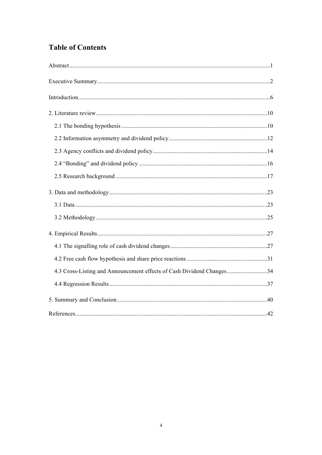## **Table of Contents**

| 4.3 Cross-Listing and Announcement effects of Cash Dividend Changes34 |  |
|-----------------------------------------------------------------------|--|
|                                                                       |  |
|                                                                       |  |
|                                                                       |  |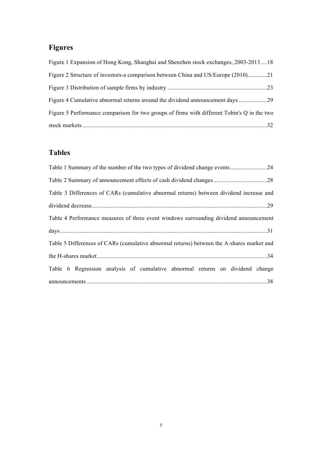# **Figures**

| Figure 1 Expansion of Hong Kong, Shanghai and Shenzhen stock exchanges, 2003-2013 18        |
|---------------------------------------------------------------------------------------------|
| Figure 2 Structure of investors-a comparison between China and US/Europe (2010)21           |
|                                                                                             |
| Figure 4 Cumulative abnormal returns around the dividend announcement days                  |
| Figure 5 Performance comparison for two groups of firms with different Tobin's Q in the two |
|                                                                                             |

## **Tables**

| Table 3 Differences of CARs (cumulative abnormal returns) between dividend increase and   |
|-------------------------------------------------------------------------------------------|
|                                                                                           |
| Table 4 Performance measures of three event windows surrounding dividend announcement     |
|                                                                                           |
| Table 5 Differences of CARs (cumulative abnormal returns) between the A-shares market and |
|                                                                                           |
| Table 6 Regression analysis of cumulative abnormal returns on dividend change             |
|                                                                                           |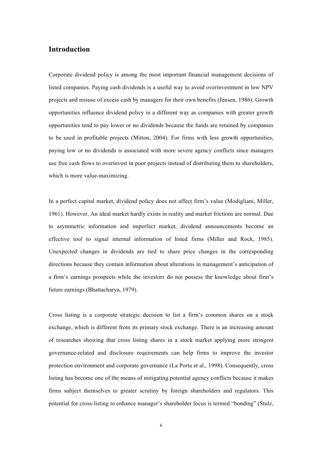## **Introduction**

Corporate dividend policy is among the most important financial management decisions of listed companies. Paying cash dividends is a useful way to avoid overinvestment in low NPV projects and misuse of excess cash by managers for their own benefits (Jensen, 1986). Growth opportunities influence dividend policy in a different way as companies with greater growth opportunities tend to pay lower or no dividends because the funds are retained by companies to be used in profitable projects (Mitton, 2004). For firms with less growth opportunities, paying low or no dividends is associated with more severe agency conflicts since managers use free cash flows to overinvest in poor projects instead of distributing them to shareholders, which is more value-maximizing.

In a perfect capital market, dividend policy does not affect firm's value (Modigliani, Miller, 1961). However, An ideal market hardly exists in reality and market frictions are normal. Due to asymmetric information and imperfect market, dividend announcements become an effective tool to signal internal information of listed firms (Miller and Rock, 1985). Unexpected changes in dividends are tied to share price changes in the corresponding directions because they contain information about alterations in management's anticipation of a firm's earnings prospects while the investors do not possess the knowledge about firm's future earnings (Bhattacharya, 1979).

Cross listing is a corporate strategic decision to list a firm's common shares on a stock exchange, which is different from its primary stock exchange. There is an increasing amount of researches showing that cross listing shares in a stock market applying more stringent governance-related and disclosure requirements can help firms to improve the investor protection environment and corporate governance (La Porta et al., 1998). Consequently, cross listing has become one of the means of mitigating potential agency conflicts because it makes firms subject themselves to greater scrutiny by foreign shareholders and regulators. This potential for cross-listing to enhance manager's shareholder focus is termed "bonding" (Stulz,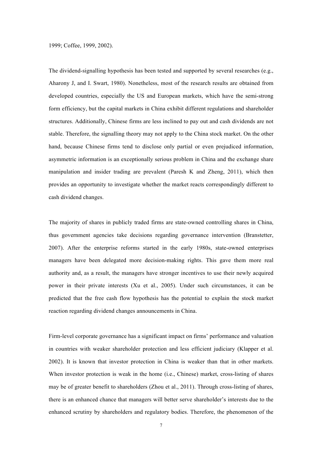1999; Coffee, 1999, 2002).

The dividend-signalling hypothesis has been tested and supported by several researches (e.g., Aharony J, and I. Swart, 1980). Nonetheless, most of the research results are obtained from developed countries, especially the US and European markets, which have the semi-strong form efficiency, but the capital markets in China exhibit different regulations and shareholder structures. Additionally, Chinese firms are less inclined to pay out and cash dividends are not stable. Therefore, the signalling theory may not apply to the China stock market. On the other hand, because Chinese firms tend to disclose only partial or even prejudiced information, asymmetric information is an exceptionally serious problem in China and the exchange share manipulation and insider trading are prevalent (Paresh K and Zheng, 2011), which then provides an opportunity to investigate whether the market reacts correspondingly different to cash dividend changes.

The majority of shares in publicly traded firms are state-owned controlling shares in China, thus government agencies take decisions regarding governance intervention (Branstetter, 2007). After the enterprise reforms started in the early 1980s, state-owned enterprises managers have been delegated more decision-making rights. This gave them more real authority and, as a result, the managers have stronger incentives to use their newly acquired power in their private interests (Xu et al., 2005). Under such circumstances, it can be predicted that the free cash flow hypothesis has the potential to explain the stock market reaction regarding dividend changes announcements in China.

Firm-level corporate governance has a significant impact on firms' performance and valuation in countries with weaker shareholder protection and less efficient judiciary (Klapper et al. 2002). It is known that investor protection in China is weaker than that in other markets. When investor protection is weak in the home (i.e., Chinese) market, cross-listing of shares may be of greater benefit to shareholders (Zhou et al., 2011). Through cross-listing of shares, there is an enhanced chance that managers will better serve shareholder's interests due to the enhanced scrutiny by shareholders and regulatory bodies. Therefore, the phenomenon of the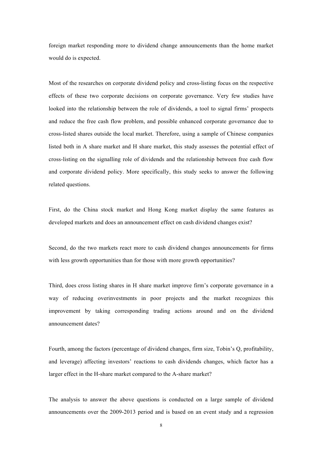foreign market responding more to dividend change announcements than the home market would do is expected.

Most of the researches on corporate dividend policy and cross-listing focus on the respective effects of these two corporate decisions on corporate governance. Very few studies have looked into the relationship between the role of dividends, a tool to signal firms' prospects and reduce the free cash flow problem, and possible enhanced corporate governance due to cross-listed shares outside the local market. Therefore, using a sample of Chinese companies listed both in A share market and H share market, this study assesses the potential effect of cross-listing on the signalling role of dividends and the relationship between free cash flow and corporate dividend policy. More specifically, this study seeks to answer the following related questions.

First, do the China stock market and Hong Kong market display the same features as developed markets and does an announcement effect on cash dividend changes exist?

Second, do the two markets react more to cash dividend changes announcements for firms with less growth opportunities than for those with more growth opportunities?

Third, does cross listing shares in H share market improve firm's corporate governance in a way of reducing overinvestments in poor projects and the market recognizes this improvement by taking corresponding trading actions around and on the dividend announcement dates?

Fourth, among the factors (percentage of dividend changes, firm size, Tobin's Q, profitability, and leverage) affecting investors' reactions to cash dividends changes, which factor has a larger effect in the H-share market compared to the A-share market?

The analysis to answer the above questions is conducted on a large sample of dividend announcements over the 2009-2013 period and is based on an event study and a regression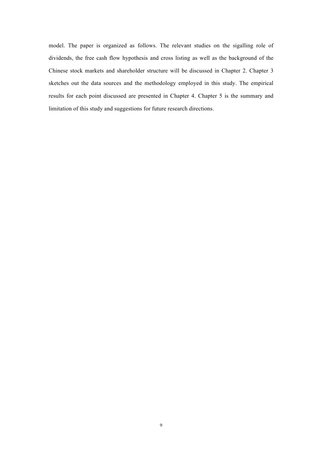model. The paper is organized as follows. The relevant studies on the sigalling role of dividends, the free cash flow hypothesis and cross listing as well as the background of the Chinese stock markets and shareholder structure will be discussed in Chapter 2. Chapter 3 sketches out the data sources and the methodology employed in this study. The empirical results for each point discussed are presented in Chapter 4. Chapter 5 is the summary and limitation of this study and suggestions for future research directions.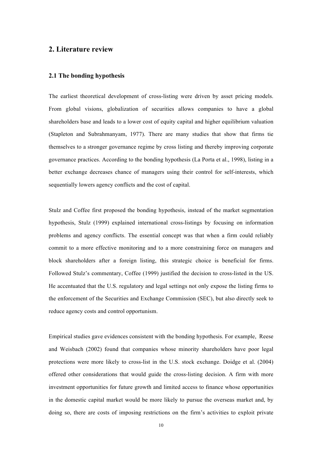## **2. Literature review**

### **2.1 The bonding hypothesis**

The earliest theoretical development of cross-listing were driven by asset pricing models. From global visions, globalization of securities allows companies to have a global shareholders base and leads to a lower cost of equity capital and higher equilibrium valuation (Stapleton and Subrahmanyam, 1977). There are many studies that show that firms tie themselves to a stronger governance regime by cross listing and thereby improving corporate governance practices. According to the bonding hypothesis (La Porta et al., 1998), listing in a better exchange decreases chance of managers using their control for self-interests, which sequentially lowers agency conflicts and the cost of capital.

Stulz and Coffee first proposed the bonding hypothesis, instead of the market segmentation hypothesis, Stulz (1999) explained international cross-listings by focusing on information problems and agency conflicts. The essential concept was that when a firm could reliably commit to a more effective monitoring and to a more constraining force on managers and block shareholders after a foreign listing, this strategic choice is beneficial for firms. Followed Stulz's commentary, Coffee (1999) justified the decision to cross-listed in the US. He accentuated that the U.S. regulatory and legal settings not only expose the listing firms to the enforcement of the Securities and Exchange Commission (SEC), but also directly seek to reduce agency costs and control opportunism.

Empirical studies gave evidences consistent with the bonding hypothesis. For example, Reese and Weisbach (2002) found that companies whose minority shareholders have poor legal protections were more likely to cross-list in the U.S. stock exchange. Doidge et al. (2004) offered other considerations that would guide the cross-listing decision. A firm with more investment opportunities for future growth and limited access to finance whose opportunities in the domestic capital market would be more likely to pursue the overseas market and, by doing so, there are costs of imposing restrictions on the firm's activities to exploit private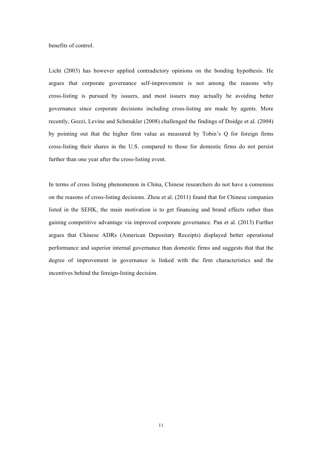benefits of control.

Licht (2003) has however applied contradictory opinions on the bonding hypothesis. He argues that corporate governance self-improvement is not among the reasons why cross-listing is pursued by issuers, and most issuers may actually be avoiding better governance since corporate decisions including cross-listing are made by agents. More recently, Gozzi, Levine and Schmukler (2008) challenged the findings of Doidge et al. (2004) by pointing out that the higher firm value as measured by Tobin's Q for foreign firms cross-listing their shares in the U.S. compared to those for domestic firms do not persist further than one year after the cross-listing event.

In terms of cross listing phenomenon in China, Chinese researchers do not have a consensus on the reasons of cross-listing decisions. Zhou et al. (2011) found that for Chinese companies listed in the SEHK, the main motivation is to get financing and brand effects rather than gaining competitive advantage via improved corporate governance. Pan et al. (2013) Further argues that Chinese ADRs (American Depositary Receipts) displayed better operational performance and superior internal governance than domestic firms and suggests that that the degree of improvement in governance is linked with the firm characteristics and the incentives behind the foreign-listing decision.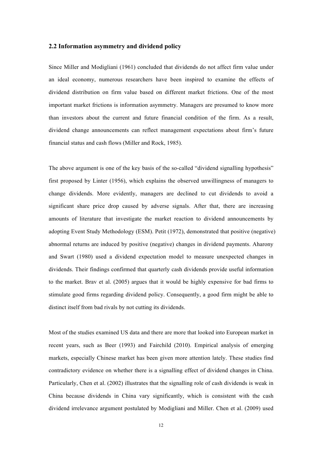#### **2.2 Information asymmetry and dividend policy**

Since Miller and Modigliani (1961) concluded that dividends do not affect firm value under an ideal economy, numerous researchers have been inspired to examine the effects of dividend distribution on firm value based on different market frictions. One of the most important market frictions is information asymmetry. Managers are presumed to know more than investors about the current and future financial condition of the firm. As a result, dividend change announcements can reflect management expectations about firm's future financial status and cash flows (Miller and Rock, 1985).

The above argument is one of the key basis of the so-called "dividend signalling hypothesis" first proposed by Linter (1956), which explains the observed unwillingness of managers to change dividends. More evidently, managers are declined to cut dividends to avoid a significant share price drop caused by adverse signals. After that, there are increasing amounts of literature that investigate the market reaction to dividend announcements by adopting Event Study Methodology (ESM). Petit (1972), demonstrated that positive (negative) abnormal returns are induced by positive (negative) changes in dividend payments. Aharony and Swart (1980) used a dividend expectation model to measure unexpected changes in dividends. Their findings confirmed that quarterly cash dividends provide useful information to the market. Brav et al. (2005) argues that it would be highly expensive for bad firms to stimulate good firms regarding dividend policy. Consequently, a good firm might be able to distinct itself from bad rivals by not cutting its dividends.

Most of the studies examined US data and there are more that looked into European market in recent years, such as Beer (1993) and Fairchild (2010). Empirical analysis of emerging markets, especially Chinese market has been given more attention lately. These studies find contradictory evidence on whether there is a signalling effect of dividend changes in China. Particularly, Chen et al. (2002) illustrates that the signalling role of cash dividends is weak in China because dividends in China vary significantly, which is consistent with the cash dividend irrelevance argument postulated by Modigliani and Miller. Chen et al. (2009) used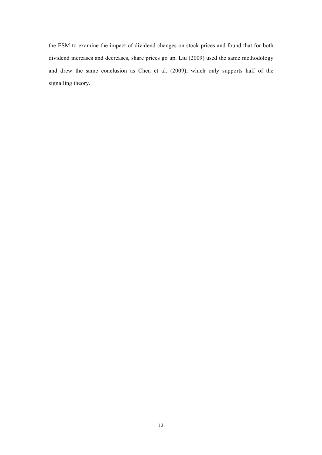the ESM to examine the impact of dividend changes on stock prices and found that for both dividend increases and decreases, share prices go up. Liu (2009) used the same methodology and drew the same conclusion as Chen et al. (2009), which only supports half of the signalling theory.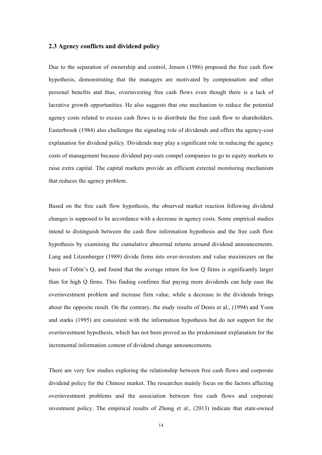## **2.3 Agency conflicts and dividend policy**

Due to the separation of ownership and control, Jensen (1986) proposed the free cash flow hypothesis, demonstrating that the managers are motivated by compensation and other personal benefits and thus, overinvesting free cash flows even though there is a lack of lucrative growth opportunities. He also suggests that one mechanism to reduce the potential agency costs related to excess cash flows is to distribute the free cash flow to shareholders. Easterbrook (1984) also challenges the signaling role of dividends and offers the agency-cost explanation for dividend policy. Dividends may play a significant role in reducing the agency costs of management because dividend pay-outs compel companies to go to equity markets to raise extra capital. The capital markets provide an efficient external monitoring mechanism that reduces the agency problem.

Based on the free cash flow hypothesis, the observed market reaction following dividend changes is supposed to be accordance with a decrease in agency costs. Some empirical studies intend to distinguish between the cash flow information hypothesis and the free cash flow hypothesis by examining the cumulative abnormal returns around dividend announcements. Lang and Litzenberger (1989) divide firms into over-investors and value maximizers on the basis of Tobin's Q, and found that the average return for low Q firms is significantly larger than for high Q firms. This finding confirms that paying more dividends can help ease the overinvestment problem and increase firm value, while a decrease in the dividends brings about the opposite result. On the contrary, the study results of Denis et al., (1994) and Yoon and starks (1995) are consistent with the information hypothesis but do not support for the overinvestment hypothesis, which has not been proved as the predominant explanation for the incremental information content of dividend change announcements.

There are very few studies exploring the relationship between free cash flows and corporate dividend policy for the Chinese market. The researches mainly focus on the factors affecting overinvestment problems and the association between free cash flows and corporate investment policy. The empirical results of Zhong et al., (2013) indicate that state-owned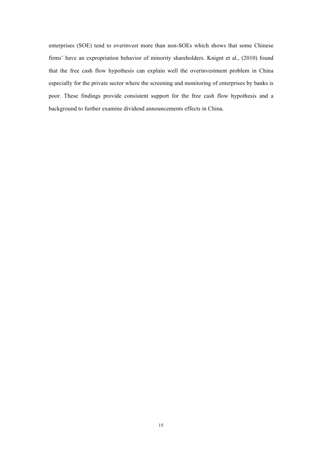enterprises (SOE) tend to overinvest more than non-SOEs which shows that some Chinese firms' have an expropriation behavior of minority shareholders. Knignt et al., (2010) found that the free cash flow hypothesis can explain well the overinvestment problem in China especially for the private sector where the screening and monitoring of enterprises by banks is poor. These findings provide consistent support for the free cash flow hypothesis and a background to further examine dividend announcements effects in China.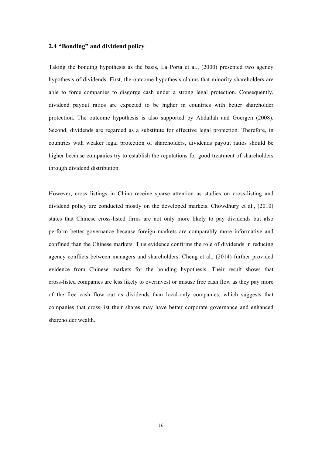## **2.4 "Bonding" and dividend policy**

Taking the bonding hypothesis as the basis, La Porta et al., (2000) presented two agency hypothesis of dividends. First, the outcome hypothesis claims that minority shareholders are able to force companies to disgorge cash under a strong legal protection. Consequently, dividend payout ratios are expected to be higher in countries with better shareholder protection. The outcome hypothesis is also supported by Abdallah and Goergen (2008). Second, dividends are regarded as a substitute for effective legal protection. Therefore, in countries with weaker legal protection of shareholders, dividends payout ratios should be higher because companies try to establish the reputations for good treatment of shareholders through dividend distribution.

However, cross listings in China receive sparse attention as studies on cross-listing and dividend policy are conducted mostly on the developed markets. Chowdhury et al., (2010) states that Chinese cross-listed firms are not only more likely to pay dividends but also perform better governance because foreign markets are comparably more informative and confined than the Chinese markets. This evidence confirms the role of dividends in reducing agency conflicts between managers and shareholders. Cheng et al., (2014) further provided evidence from Chinese markets for the bonding hypothesis. Their result shows that cross-listed companies are less likely to overinvest or misuse free cash flow as they pay more of the free cash flow out as dividends than local-only companies, which suggests that companies that cross-list their shares may have better corporate governance and enhanced shareholder wealth.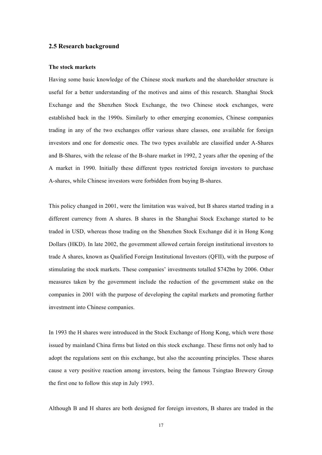## **2.5 Research background**

#### **The stock markets**

Having some basic knowledge of the Chinese stock markets and the shareholder structure is useful for a better understanding of the motives and aims of this research. Shanghai Stock Exchange and the Shenzhen Stock Exchange, the two Chinese stock exchanges, were established back in the 1990s. Similarly to other emerging economies, Chinese companies trading in any of the two exchanges offer various share classes, one available for foreign investors and one for domestic ones. The two types available are classified under A-Shares and B-Shares, with the release of the B-share market in 1992, 2 years after the opening of the A market in 1990. Initially these different types restricted foreign investors to purchase A-shares, while Chinese investors were forbidden from buying B-shares.

This policy changed in 2001, were the limitation was waived, but B shares started trading in a different currency from A shares. B shares in the Shanghai Stock Exchange started to be traded in USD, whereas those trading on the Shenzhen Stock Exchange did it in Hong Kong Dollars (HKD). In late 2002, the government allowed certain foreign institutional investors to trade A shares, known as Qualified Foreign Institutional Investors (QFII), with the purpose of stimulating the stock markets. These companies' investments totalled \$742bn by 2006. Other measures taken by the government include the reduction of the government stake on the companies in 2001 with the purpose of developing the capital markets and promoting further investment into Chinese companies.

In 1993 the H shares were introduced in the Stock Exchange of Hong Kong, which were those issued by mainland China firms but listed on this stock exchange. These firms not only had to adopt the regulations sent on this exchange, but also the accounting principles. These shares cause a very positive reaction among investors, being the famous Tsingtao Brewery Group the first one to follow this step in July 1993.

Although B and H shares are both designed for foreign investors, B shares are traded in the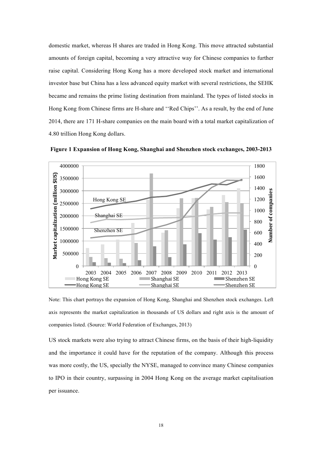domestic market, whereas H shares are traded in Hong Kong. This move attracted substantial amounts of foreign capital, becoming a very attractive way for Chinese companies to further raise capital. Considering Hong Kong has a more developed stock market and international investor base but China has a less advanced equity market with several restrictions, the SEHK became and remains the prime listing destination from mainland. The types of listed stocks in Hong Kong from Chinese firms are H-share and ''Red Chips''. As a result, by the end of June 2014, there are 171 H-share companies on the main board with a total market capitalization of 4.80 trillion Hong Kong dollars.



**Figure 1 Expansion of Hong Kong, Shanghai and Shenzhen stock exchanges, 2003-2013**

Note: This chart portrays the expansion of Hong Kong, Shanghai and Shenzhen stock exchanges. Left axis represents the market capitalization in thousands of US dollars and right axis is the amount of companies listed. (Source: World Federation of Exchanges, 2013)

US stock markets were also trying to attract Chinese firms, on the basis of their high-liquidity and the importance it could have for the reputation of the company. Although this process was more costly, the US, specially the NYSE, managed to convince many Chinese companies to IPO in their country, surpassing in 2004 Hong Kong on the average market capitalisation per issuance.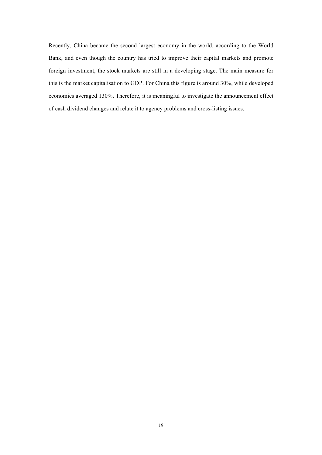Recently, China became the second largest economy in the world, according to the World Bank, and even though the country has tried to improve their capital markets and promote foreign investment, the stock markets are still in a developing stage. The main measure for this is the market capitalisation to GDP. For China this figure is around 30%, while developed economies averaged 130%. Therefore, it is meaningful to investigate the announcement effect of cash dividend changes and relate it to agency problems and cross-listing issues.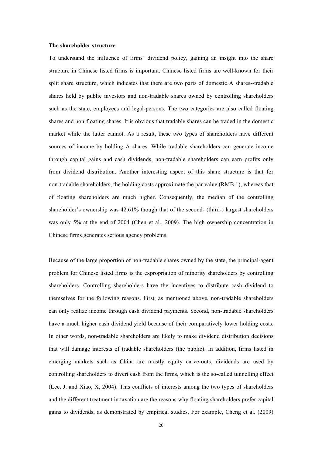#### **The shareholder structure**

To understand the influence of firms' dividend policy, gaining an insight into the share structure in Chinese listed firms is important. Chinese listed firms are well-known for their split share structure, which indicates that there are two parts of domestic A shares--tradable shares held by public investors and non-tradable shares owned by controlling shareholders such as the state, employees and legal-persons. The two categories are also called floating shares and non-floating shares. It is obvious that tradable shares can be traded in the domestic market while the latter cannot. As a result, these two types of shareholders have different sources of income by holding A shares. While tradable shareholders can generate income through capital gains and cash dividends, non-tradable shareholders can earn profits only from dividend distribution. Another interesting aspect of this share structure is that for non-tradable shareholders, the holding costs approximate the par value (RMB 1), whereas that of floating shareholders are much higher. Consequently, the median of the controlling shareholder's ownership was 42.61% though that of the second- (third-) largest shareholders was only 5% at the end of 2004 (Chen et al., 2009). The high ownership concentration in Chinese firms generates serious agency problems.

Because of the large proportion of non-tradable shares owned by the state, the principal-agent problem for Chinese listed firms is the expropriation of minority shareholders by controlling shareholders. Controlling shareholders have the incentives to distribute cash dividend to themselves for the following reasons. First, as mentioned above, non-tradable shareholders can only realize income through cash dividend payments. Second, non-tradable shareholders have a much higher cash dividend yield because of their comparatively lower holding costs. In other words, non-tradable shareholders are likely to make dividend distribution decisions that will damage interests of tradable shareholders (the public). In addition, firms listed in emerging markets such as China are mostly equity carve-outs, dividends are used by controlling shareholders to divert cash from the firms, which is the so-called tunnelling effect (Lee, J. and Xiao, X, 2004). This conflicts of interests among the two types of shareholders and the different treatment in taxation are the reasons why floating shareholders prefer capital gains to dividends, as demonstrated by empirical studies. For example, Cheng et al. (2009)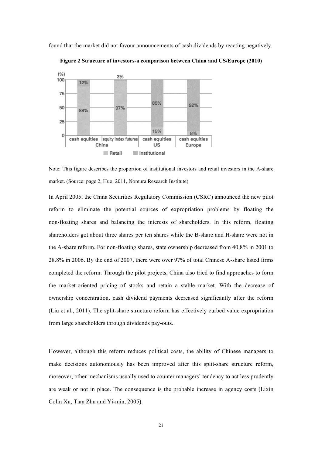found that the market did not favour announcements of cash dividends by reacting negatively.



**Figure 2 Structure of investors-a comparison between China and US/Europe (2010)**

Note: This figure describes the proportion of institutional investors and retail investors in the A-share market. (Source: page 2, Huo, 2011, Nomura Research Institute)

In April 2005, the China Securities Regulatory Commission (CSRC) announced the new pilot reform to eliminate the potential sources of expropriation problems by floating the non-floating shares and balancing the interests of shareholders. In this reform, floating shareholders got about three shares per ten shares while the B-share and H-share were not in the A-share reform. For non-floating shares, state ownership decreased from 40.8% in 2001 to 28.8% in 2006. By the end of 2007, there were over 97% of total Chinese A-share listed firms completed the reform. Through the pilot projects, China also tried to find approaches to form the market-oriented pricing of stocks and retain a stable market. With the decrease of ownership concentration, cash dividend payments decreased significantly after the reform (Liu et al., 2011). The split-share structure reform has effectively curbed value expropriation from large shareholders through dividends pay-outs.

However, although this reform reduces political costs, the ability of Chinese managers to make decisions autonomously has been improved after this split-share structure reform, moreover, other mechanisms usually used to counter managers' tendency to act less prudently are weak or not in place. The consequence is the probable increase in agency costs (Lixin Colin Xu, Tian Zhu and Yi-min, 2005).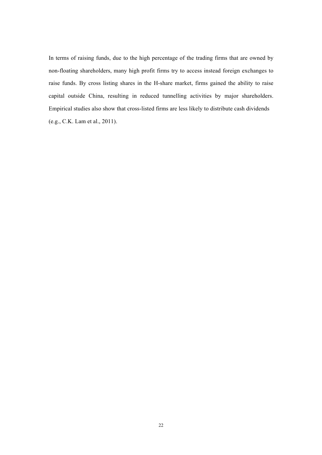In terms of raising funds, due to the high percentage of the trading firms that are owned by non-floating shareholders, many high profit firms try to access instead foreign exchanges to raise funds. By cross listing shares in the H-share market, firms gained the ability to raise capital outside China, resulting in reduced tunnelling activities by major shareholders. Empirical studies also show that cross-listed firms are less likely to distribute cash dividends (e.g., C.K. Lam et al., 2011).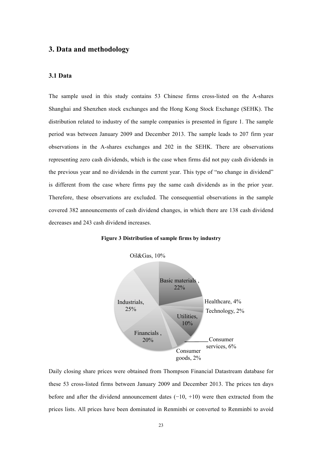## **3. Data and methodology**

### **3.1 Data**

The sample used in this study contains 53 Chinese firms cross-listed on the A-shares Shanghai and Shenzhen stock exchanges and the Hong Kong Stock Exchange (SEHK). The distribution related to industry of the sample companies is presented in figure 1. The sample period was between January 2009 and December 2013. The sample leads to 207 firm year observations in the A-shares exchanges and 202 in the SEHK. There are observations representing zero cash dividends, which is the case when firms did not pay cash dividends in the previous year and no dividends in the current year. This type of "no change in dividend" is different from the case where firms pay the same cash dividends as in the prior year. Therefore, these observations are excluded. The consequential observations in the sample covered 382 announcements of cash dividend changes, in which there are 138 cash dividend decreases and 243 cash dividend increases.





Daily closing share prices were obtained from Thompson Financial Datastream database for these 53 cross-listed firms between January 2009 and December 2013. The prices ten days before and after the dividend announcement dates (−10, +10) were then extracted from the prices lists. All prices have been dominated in Renminbi or converted to Renminbi to avoid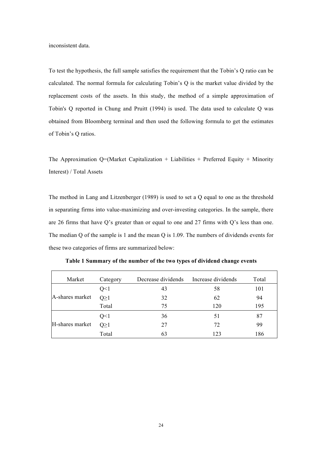inconsistent data.

To test the hypothesis, the full sample satisfies the requirement that the Tobin's Q ratio can be calculated. The normal formula for calculating Tobin's Q is the market value divided by the replacement costs of the assets. In this study, the method of a simple approximation of Tobin's Q reported in Chung and Pruitt (1994) is used. The data used to calculate Q was obtained from Bloomberg terminal and then used the following formula to get the estimates of Tobin's Q ratios.

The Approximation  $Q=(\text{Market Capitalization + Liabilities + Preferred} E)$  + Minority Interest) / Total Assets

The method in Lang and Litzenberger (1989) is used to set a Q equal to one as the threshold in separating firms into value-maximizing and over-investing categories. In the sample, there are 26 firms that have Q's greater than or equal to one and 27 firms with Q's less than one. The median Q of the sample is 1 and the mean Q is 1.09. The numbers of dividends events for these two categories of firms are summarized below:

| Market          | Category   | Decrease dividends | Increase dividends | Total |
|-----------------|------------|--------------------|--------------------|-------|
|                 | Q<1        | 43                 | 58                 | 101   |
| A-shares market | $Q \geq 1$ | 32                 | 62                 | 94    |
|                 | Total      | 75                 | 120                | 195   |
|                 | Q<1        | 36                 | 51                 | 87    |
| H-shares market | $O \geq 1$ | 27                 | 72                 | 99    |
|                 | Total      | 63                 | 123                | 186   |

**Table 1 Summary of the number of the two types of dividend change events**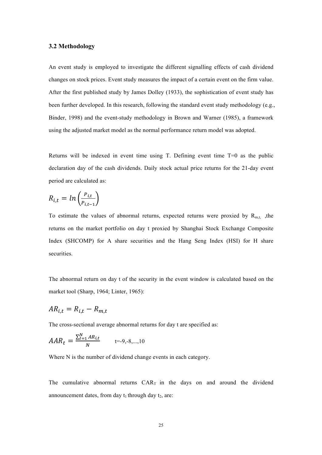### **3.2 Methodology**

An event study is employed to investigate the different signalling effects of cash dividend changes on stock prices. Event study measures the impact of a certain event on the firm value. After the first published study by James Dolley (1933), the sophistication of event study has been further developed. In this research, following the standard event study methodology (e.g., Binder, 1998) and the event-study methodology in Brown and Warner (1985), a framework using the adjusted market model as the normal performance return model was adopted.

Returns will be indexed in event time using T. Defining event time T=0 as the public declaration day of the cash dividends. Daily stock actual price returns for the 21-day event period are calculated as:

$$
R_{i,t} = \ln\left(\frac{P_{i,t}}{P_{i,t-1}}\right)
$$

To estimate the values of abnormal returns, expected returns were proxied by  $R_{m,t}$ , the returns on the market portfolio on day t proxied by Shanghai Stock Exchange Composite Index (SHCOMP) for A share securities and the Hang Seng Index (HSI) for H share securities.

The abnormal return on day t of the security in the event window is calculated based on the market tool (Sharp, 1964; Linter, 1965):

$$
AR_{i,t} = R_{i,t} - R_{m,t}
$$

The cross-sectional average abnormal returns for day t are specified as:

$$
AAR_t = \frac{\sum_{l=1}^{N} AR_{i,t}}{N} \qquad \qquad t=9, -8, \dots, 10
$$

Where N is the number of dividend change events in each category.

The cumulative abnormal returns  $CAR_T$  in the days on and around the dividend announcement dates, from day  $t_1$  through day  $t_2$ , are: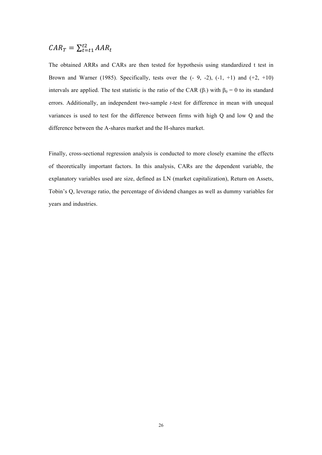#### $CAR_T = \sum_{t=t_1}^{t_2} AAR_t$  $\dot{t} = t1$

The obtained ARRs and CARs are then tested for hypothesis using standardized t test in Brown and Warner (1985). Specifically, tests over the  $(-9, -2)$ ,  $(-1, +1)$  and  $(+2, +10)$ intervals are applied. The test statistic is the ratio of the CAR ( $\beta_1$ ) with  $\beta_0 = 0$  to its standard errors. Additionally, an independent two-sample *t*-test for difference in mean with unequal variances is used to test for the difference between firms with high Q and low Q and the difference between the A-shares market and the H-shares market.

Finally, cross-sectional regression analysis is conducted to more closely examine the effects of theoretically important factors. In this analysis, CARs are the dependent variable, the explanatory variables used are size, defined as LN (market capitalization), Return on Assets, Tobin's Q, leverage ratio, the percentage of dividend changes as well as dummy variables for years and industries.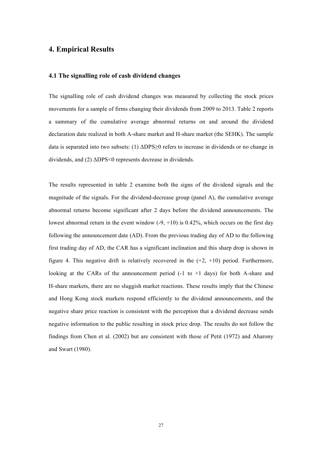## **4. Empirical Results**

### **4.1 The signalling role of cash dividend changes**

The signalling role of cash dividend changes was measured by collecting the stock prices movements for a sample of firms changing their dividends from 2009 to 2013. Table 2 reports a summary of the cumulative average abnormal returns on and around the dividend declaration date realized in both A-share market and H-share market (the SEHK). The sample data is separated into two subsets: (1)  $\Delta$ DPS $\geq$ 0 refers to increase in dividends or no change in dividends, and (2) ΔDPS<0 represents decrease in dividends.

The results represented in table 2 examine both the signs of the dividend signals and the magnitude of the signals. For the dividend-decrease group (panel A), the cumulative average abnormal returns become significant after 2 days before the dividend announcements. The lowest abnormal return in the event window  $(-9, +10)$  is 0.42%, which occurs on the first day following the announcement date (AD). From the previous trading day of AD to the following first trading day of AD, the CAR has a significant inclination and this sharp drop is shown in figure 4. This negative drift is relatively recovered in the  $(+2, +10)$  period. Furthermore, looking at the CARs of the announcement period  $(-1)$  to  $+1$  days) for both A-share and H-share markets, there are no sluggish market reactions. These results imply that the Chinese and Hong Kong stock markets respond efficiently to the dividend announcements, and the negative share price reaction is consistent with the perception that a dividend decrease sends negative information to the public resulting in stock price drop. The results do not follow the findings from Chen et al. (2002) but are consistent with those of Petit (1972) and Aharony and Swart (1980).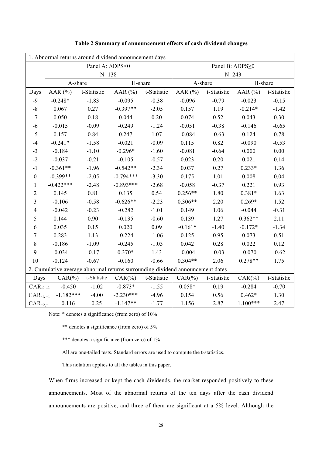| 1. Abnormal returns around dividend announcement days                          |             |             |                 |             |           |             |            |             |  |
|--------------------------------------------------------------------------------|-------------|-------------|-----------------|-------------|-----------|-------------|------------|-------------|--|
| Panel A: $\Delta$ DPS<0                                                        |             |             | Panel B: ∆DPS≥0 |             |           |             |            |             |  |
|                                                                                | $N = 138$   |             |                 |             | $N = 243$ |             |            |             |  |
|                                                                                | A-share     |             | H-share         |             | A-share   |             |            | H-share     |  |
| Days                                                                           | AAR $(%)$   | t-Statistic | AAR $(%)$       | t-Statistic | AAR $(%)$ | t-Statistic | AAR $(%)$  | t-Statistic |  |
| $-9$                                                                           | $-0.248*$   | $-1.83$     | $-0.095$        | $-0.38$     | $-0.096$  | $-0.79$     | $-0.023$   | $-0.15$     |  |
| $\textsf{-}8$                                                                  | 0.067       | 0.27        | $-0.397**$      | $-2.05$     | 0.157     | 1.19        | $-0.214*$  | $-1.42$     |  |
| $-7$                                                                           | 0.050       | 0.18        | 0.044           | 0.20        | 0.074     | 0.52        | 0.043      | 0.30        |  |
| $-6$                                                                           | $-0.015$    | $-0.09$     | $-0.249$        | $-1.24$     | $-0.051$  | $-0.38$     | $-0.146$   | $-0.65$     |  |
| $-5$                                                                           | 0.157       | 0.84        | 0.247           | 1.07        | $-0.084$  | $-0.63$     | 0.124      | 0.78        |  |
| $-4$                                                                           | $-0.241*$   | $-1.58$     | $-0.021$        | $-0.09$     | 0.115     | 0.82        | $-0.090$   | $-0.53$     |  |
| $-3$                                                                           | $-0.184$    | $-1.10$     | $-0.296*$       | $-1.60$     | $-0.081$  | $-0.64$     | 0.000      | $0.00\,$    |  |
| $-2$                                                                           | $-0.037$    | $-0.21$     | $-0.105$        | $-0.57$     | 0.023     | 0.20        | 0.021      | 0.14        |  |
| $-1$                                                                           | $-0.361**$  | $-1.96$     | $-0.542**$      | $-2.34$     | 0.037     | 0.27        | $0.233*$   | 1.36        |  |
| $\boldsymbol{0}$                                                               | $-0.399**$  | $-2.05$     | $-0.794***$     | $-3.30$     | 0.175     | 1.01        | 0.008      | 0.04        |  |
| $\mathbf{1}$                                                                   | $-0.422***$ | $-2.48$     | $-0.893***$     | $-2.68$     | $-0.058$  | $-0.37$     | 0.221      | 0.93        |  |
| $\overline{c}$                                                                 | 0.145       | 0.81        | 0.135           | 0.54        | $0.256**$ | 1.80        | $0.381*$   | 1.63        |  |
| 3                                                                              | $-0.106$    | $-0.58$     | $-0.626**$      | $-2.23$     | $0.306**$ | 2.20        | $0.269*$   | 1.52        |  |
| $\overline{4}$                                                                 | $-0.042$    | $-0.23$     | $-0.282$        | $-1.01$     | 0.149     | 1.06        | $-0.044$   | $-0.31$     |  |
| 5                                                                              | 0.144       | 0.90        | $-0.135$        | $-0.60$     | 0.139     | 1.27        | $0.362**$  | 2.11        |  |
| 6                                                                              | 0.035       | 0.15        | 0.020           | 0.09        | $-0.161*$ | $-1.40$     | $-0.172*$  | $-1.34$     |  |
| 7                                                                              | 0.283       | 1.13        | $-0.224$        | $-1.06$     | 0.125     | 0.95        | 0.073      | 0.51        |  |
| $\,8\,$                                                                        | $-0.186$    | $-1.09$     | $-0.245$        | $-1.03$     | 0.042     | 0.28        | 0.022      | 0.12        |  |
| 9                                                                              | $-0.034$    | $-0.17$     | $0.370*$        | 1.43        | $-0.004$  | $-0.03$     | $-0.070$   | $-0.62$     |  |
| 10                                                                             | $-0.124$    | $-0.67$     | $-0.160$        | $-0.66$     | $0.304**$ | 2.06        | $0.278**$  | 1.75        |  |
| 2. Cumulative average abnormal returns surrounding dividend announcement dates |             |             |                 |             |           |             |            |             |  |
| Days                                                                           | $CAR(\%)$   | t-Statistic | $CAR(\%)$       | t-Statistic | $CAR(\%)$ | t-Statistic | $CAR(\%)$  | t-Statistic |  |
| $CAR_{.9, -2}$                                                                 | $-0.450$    | $-1.02$     | $-0.873*$       | $-1.55$     | $0.058*$  | 0.19        | $-0.284$   | $-0.70$     |  |
| $CAR_{-1,+1}$                                                                  | $-1.182***$ | $-4.00$     | $-2.230***$     | $-4.96$     | 0.154     | 0.56        | $0.462*$   | 1.30        |  |
| $CAR_{+2,+1}$                                                                  | 0.116       | 0.25        | $-1.147**$      | $-1.77$     | 1.156     | 2.87        | $1.100***$ | 2.47        |  |

### **Table 2 Summary of announcement effects of cash dividend changes**

Note: \* denotes a significance (from zero) of 10%

\*\* denotes a significance (from zero) of 5%

\*\*\* denotes a significance (from zero) of 1%

All are one-tailed tests. Standard errors are used to compute the t-statistics.

This notation applies to all the tables in this paper.

When firms increased or kept the cash dividends, the market responded positively to these announcements. Most of the abnormal returns of the ten days after the cash dividend announcements are positive, and three of them are significant at a 5% level. Although the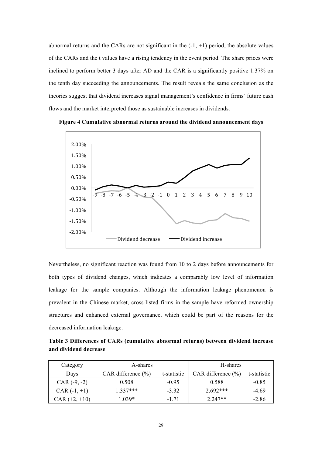abnormal returns and the CARs are not significant in the  $(-1, +1)$  period, the absolute values of the CARs and the t values have a rising tendency in the event period. The share prices were inclined to perform better 3 days after AD and the CAR is a significantly positive 1.37% on the tenth day succeeding the announcements. The result reveals the same conclusion as the theories suggest that dividend increases signal management's confidence in firms' future cash flows and the market interpreted those as sustainable increases in dividends.



**Figure 4 Cumulative abnormal returns around the dividend announcement days**

Nevertheless, no significant reaction was found from 10 to 2 days before announcements for both types of dividend changes, which indicates a comparably low level of information leakage for the sample companies. Although the information leakage phenomenon is prevalent in the Chinese market, cross-listed firms in the sample have reformed ownership structures and enhanced external governance, which could be part of the reasons for the decreased information leakage.

**Table 3 Differences of CARs (cumulative abnormal returns) between dividend increase and dividend decrease**

| Category        | A-shares               |             | H-shares               |             |
|-----------------|------------------------|-------------|------------------------|-------------|
| Days            | CAR difference $(\% )$ | t-statistic | CAR difference $(\% )$ | t-statistic |
| $CAR (-9, -2)$  | 0.508                  | $-0.95$     | 0.588                  | $-0.85$     |
| $CAR (-1, +1)$  | $1.337***$             | $-3.32$     | $2.692***$             | $-4.69$     |
| $CAR (+2, +10)$ | 1 039*                 | -1 71       | $2.247**$              | $-2.86$     |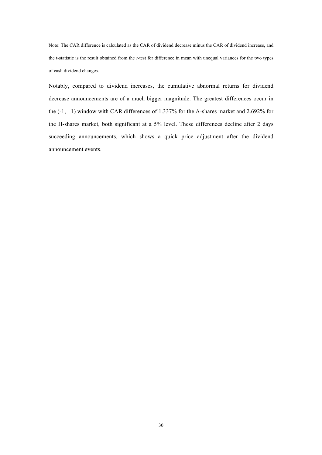Note: The CAR difference is calculated as the CAR of dividend decrease minus the CAR of dividend increase, and the t-statistic is the result obtained from the *t*-test for difference in mean with unequal variances for the two types of cash dividend changes.

Notably, compared to dividend increases, the cumulative abnormal returns for dividend decrease announcements are of a much bigger magnitude. The greatest differences occur in the (-1, +1) window with CAR differences of 1.337% for the A-shares market and 2.692% for the H-shares market, both significant at a 5% level. These differences decline after 2 days succeeding announcements, which shows a quick price adjustment after the dividend announcement events.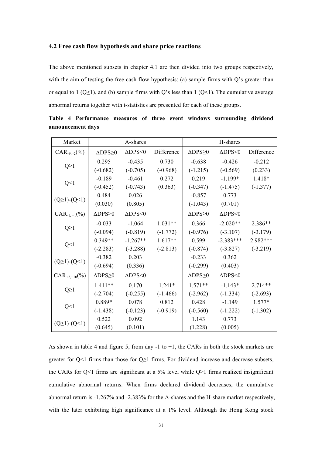## **4.2 Free cash flow hypothesis and share price reactions**

The above mentioned subsets in chapter 4.1 are then divided into two groups respectively, with the aim of testing the free cash flow hypothesis: (a) sample firms with Q's greater than or equal to 1 ( $Q \ge 1$ ), and (b) sample firms with Q's less than 1 ( $Q$ <1). The cumulative average abnormal returns together with t-statistics are presented for each of these groups.

| Market                  |                          | A-shares                       |            |                          | H-shares                       |            |
|-------------------------|--------------------------|--------------------------------|------------|--------------------------|--------------------------------|------------|
| $CAR_{-9,-2}(\%)$       | $\triangle$ DPS $\geq$ 0 | $\Delta \text{DPS}\textless 0$ | Difference | $\triangle$ DPS $\geq$ 0 | $\Delta \text{DPS}\textless 0$ | Difference |
|                         | 0.295                    | $-0.435$                       | 0.730      | $-0.638$                 | $-0.426$                       | $-0.212$   |
| $Q \geq 1$              | $(-0.682)$               | $(-0.705)$                     | $(-0.968)$ | $(-1.215)$               | $(-0.569)$                     | (0.233)    |
|                         | $-0.189$                 | $-0.461$                       | 0.272      | 0.219                    | $-1.199*$                      | 1.418*     |
| Q<1                     | $(-0.452)$               | $(-0.743)$                     | (0.363)    | $(-0.347)$               | $(-1.475)$                     | $(-1.377)$ |
| $(Q \ge 1) - (Q \le 1)$ | 0.484                    | 0.026                          |            | $-0.857$                 | 0.773                          |            |
|                         | (0.030)                  | (0.805)                        |            | $(-1.043)$               | (0.701)                        |            |
| $CAR_{-1,+1}(\%)$       | $\triangle$ DPS $\geq$ 0 | $\Delta$ DPS<0                 |            | $\triangle$ DPS $\geq$ 0 | $\Delta$ DPS<0                 |            |
|                         | $-0.033$                 | $-1.064$                       | $1.031**$  | 0.366                    | $-2.020**$                     | 2.386**    |
| $Q \geq 1$              | $(-0.094)$               | $(-0.819)$                     | $(-1.772)$ | $(-0.976)$               | $(-3.107)$                     | $(-3.179)$ |
|                         | $0.349**$                | $-1.267**$                     | $1.617**$  | 0.599                    | $-2.383***$                    | 2.982***   |
| Q<1                     | $(-2.283)$               | $(-3.288)$                     | $(-2.813)$ | $(-0.874)$               | $(-3.827)$                     | $(-3.219)$ |
|                         | $-0.382$                 | 0.203                          |            | $-0.233$                 | 0.362                          |            |
| $(Q \ge 1) - (Q \le 1)$ | $(-0.694)$               | (0.336)                        |            | $(-0.299)$               | (0.403)                        |            |
| $CAR_{+2,+10}$ (%)      | $\triangle$ DPS $\geq$ 0 | $\Delta$ DPS<0                 |            | $\triangle$ DPS $\geq$ 0 | $\Delta$ DPS<0                 |            |
|                         | $1.411**$                | 0.170                          | $1.241*$   | $1.571**$                | $-1.143*$                      | 2.714**    |
| $Q \geq 1$              | $(-2.704)$               | $(-0.255)$                     | $(-1.466)$ | $(-2.962)$               | $(-1.334)$                     | $(-2.693)$ |
| Q<1                     | 0.889*                   | 0.078                          | 0.812      | 0.428                    | $-1.149$                       | $1.577*$   |
|                         | $(-1.438)$               | $(-0.123)$                     | $(-0.919)$ | $(-0.560)$               | $(-1.222)$                     | $(-1.302)$ |
|                         | 0.522                    | 0.092                          |            | 1.143                    | 0.773                          |            |
| $(Q \ge 1) - (Q \le 1)$ | (0.645)                  | (0.101)                        |            | (1.228)                  | (0.005)                        |            |

**Table 4 Performance measures of three event windows surrounding dividend announcement days**

As shown in table 4 and figure 5, from day  $-1$  to  $+1$ , the CARs in both the stock markets are greater for  $Q \le 1$  firms than those for  $Q \ge 1$  firms. For dividend increase and decrease subsets, the CARs for Q<1 firms are significant at a 5% level while  $Q \ge 1$  firms realized insignificant cumulative abnormal returns. When firms declared dividend decreases, the cumulative abnormal return is -1.267% and -2.383% for the A-shares and the H-share market respectively, with the later exhibiting high significance at a 1% level. Although the Hong Kong stock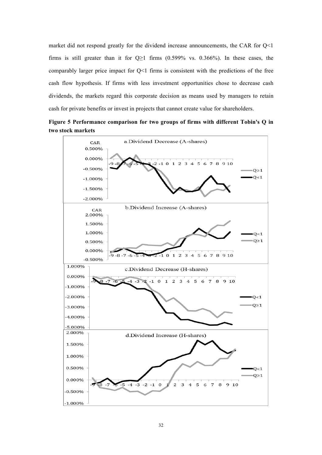market did not respond greatly for the dividend increase announcements, the CAR for  $O(1)$ firms is still greater than it for  $Q \ge 1$  firms (0.599% vs. 0.366%). In these cases, the comparably larger price impact for  $Q<1$  firms is consistent with the predictions of the free cash flow hypothesis. If firms with less investment opportunities chose to decrease cash dividends, the markets regard this corporate decision as means used by managers to retain cash for private benefits or invest in projects that cannot create value for shareholders.



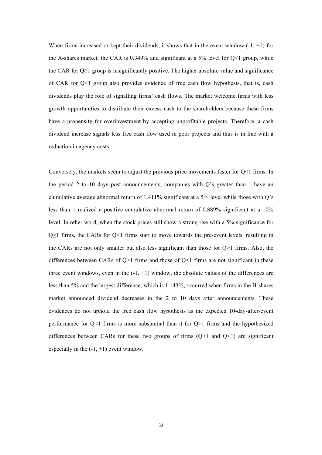When firms increased or kept their dividends, it shows that in the event window  $(-1, +1)$  for the A-shares market, the CAR is  $0.349\%$  and significant at a 5% level for O  $\leq 1$  group, while the CAR for  $Q \geq 1$  group is insignificantly positive. The higher absolute value and significance of CAR for Q<1 group also provides evidence of free cash flow hypothesis, that is, cash dividends play the role of signalling firms' cash flows. The market welcome firms with less growth opportunities to distribute their excess cash to the shareholders because these firms have a propensity for overinvestment by accepting unprofitable projects. Therefore, a cash dividend increase signals less free cash flow used in poor projects and thus is in line with a reduction in agency costs.

Conversely, the markets seem to adjust the previous price movements faster for Q<1 firms. In the period 2 to 10 days post announcements, companies with Q's greater than 1 have an cumulative average abnormal return of 1.411% significant at a 5% level while those with Q's less than 1 realized a positive cumulative abnormal return of 0.889% significant at a 10% level. In other word, when the stock prices still show a strong rise with a 5% significance for  $Q$  = 1 firms, the CARs for  $Q$  < 1 firms start to move towards the pre-event levels, resulting in the CARs are not only smaller but also less significant than those for Q>1 firms. Also, the differences between CARs of  $Q>1$  firms and those of  $Q<1$  firms are not significant in these three event windows, even in the  $(-1, +1)$  window, the absolute values of the differences are less than 5% and the largest difference, which is 1.143%, occurred when firms in the H-shares market announced dividend decreases in the 2 to 10 days after announcements. These evidences do not uphold the free cash flow hypothesis as the expected 10-day-after-event performance for Q<1 firms is more substantial than it for Q>1 firms and the hypothesized differences between CARs for these two groups of firms  $(Q>1)$  and  $(Q<1)$  are significant especially in the  $(-1, +1)$  event window.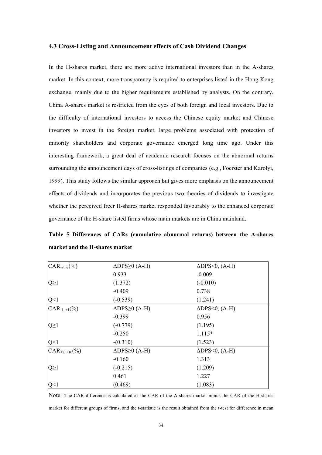#### **4.3 Cross-Listing and Announcement effects of Cash Dividend Changes**

In the H-shares market, there are more active international investors than in the A-shares market. In this context, more transparency is required to enterprises listed in the Hong Kong exchange, mainly due to the higher requirements established by analysts. On the contrary, China A-shares market is restricted from the eyes of both foreign and local investors. Due to the difficulty of international investors to access the Chinese equity market and Chinese investors to invest in the foreign market, large problems associated with protection of minority shareholders and corporate governance emerged long time ago. Under this interesting framework, a great deal of academic research focuses on the abnormal returns surrounding the announcement days of cross-listings of companies (e.g., Foerster and Karolyi, 1999). This study follows the similar approach but gives more emphasis on the announcement effects of dividends and incorporates the previous two theories of dividends to investigate whether the perceived freer H-shares market responded favourably to the enhanced corporate governance of the H-share listed firms whose main markets are in China mainland.

**Table 5 Differences of CARs (cumulative abnormal returns) between the A-shares market and the H-shares market**

| $CAR_{-9,-2}(\%)$  | $\triangle$ DPS $\geq$ 0 (A-H) | $\triangle$ DPS < 0, (A-H) |
|--------------------|--------------------------------|----------------------------|
|                    | 0.933                          | $-0.009$                   |
| $Q \geq 1$         | (1.372)                        | $(-0.010)$                 |
|                    | $-0.409$                       | 0.738                      |
| Q<1                | $(-0.539)$                     | (1.241)                    |
| $CAR_{-1,+1}(\%)$  | $\triangle$ DPS $\geq$ 0 (A-H) | $\triangle$ DPS < 0, (A-H) |
|                    | $-0.399$                       | 0.956                      |
| $Q \geq 1$         | $(-0.779)$                     | (1.195)                    |
|                    | $-0.250$                       | $1.115*$                   |
| Q<1                | $-(0.310)$                     | (1.523)                    |
| $CAR_{+2,+10}$ (%) | $\triangle$ DPS $\geq$ 0 (A-H) | $\triangle$ DPS < 0, (A-H) |
|                    | $-0.160$                       | 1.313                      |
| $Q \geq 1$         | $(-0.215)$                     | (1.209)                    |
|                    | 0.461                          | 1.227                      |
| Q<1                | (0.469)                        | (1.083)                    |

Note: The CAR difference is calculated as the CAR of the A-shares market minus the CAR of the H-shares market for different groups of firms, and the t-statistic is the result obtained from the t-test for difference in mean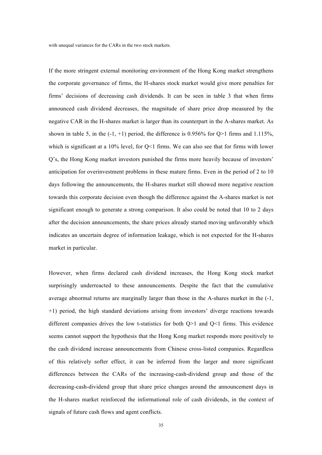with unequal variances for the CARs in the two stock markets.

If the more stringent external monitoring environment of the Hong Kong market strengthens the corporate governance of firms, the H-shares stock market would give more penalties for firms' decisions of decreasing cash dividends. It can be seen in table 3 that when firms announced cash dividend decreases, the magnitude of share price drop measured by the negative CAR in the H-shares market is larger than its counterpart in the A-shares market. As shown in table 5, in the  $(-1, +1)$  period, the difference is 0.956% for Q>1 firms and 1.115%, which is significant at a  $10\%$  level, for Q<1 firms. We can also see that for firms with lower Q's, the Hong Kong market investors punished the firms more heavily because of investors' anticipation for overinvestment problems in these mature firms. Even in the period of 2 to 10 days following the announcements, the H-shares market still showed more negative reaction towards this corporate decision even though the difference against the A-shares market is not significant enough to generate a strong comparison. It also could be noted that 10 to 2 days after the decision announcements, the share prices already started moving unfavorably which indicates an uncertain degree of information leakage, which is not expected for the H-shares market in particular.

However, when firms declared cash dividend increases, the Hong Kong stock market surprisingly underreacted to these announcements. Despite the fact that the cumulative average abnormal returns are marginally larger than those in the A-shares market in the (-1, +1) period, the high standard deviations arising from investors' diverge reactions towards different companies drives the low t-statistics for both  $Q>1$  and  $Q<1$  firms. This evidence seems cannot support the hypothesis that the Hong Kong market responds more positively to the cash dividend increase announcements from Chinese cross-listed companies. Regardless of this relatively softer effect, it can be inferred from the larger and more significant differences between the CARs of the increasing-cash-dividend group and those of the decreasing-cash-dividend group that share price changes around the announcement days in the H-shares market reinforced the informational role of cash dividends, in the context of signals of future cash flows and agent conflicts.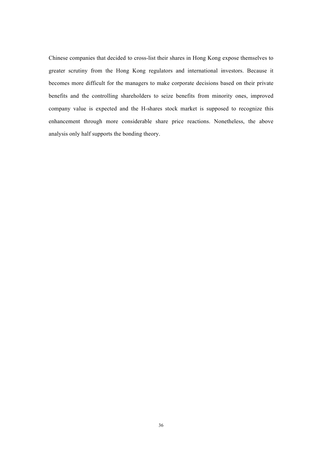Chinese companies that decided to cross-list their shares in Hong Kong expose themselves to greater scrutiny from the Hong Kong regulators and international investors. Because it becomes more difficult for the managers to make corporate decisions based on their private benefits and the controlling shareholders to seize benefits from minority ones, improved company value is expected and the H-shares stock market is supposed to recognize this enhancement through more considerable share price reactions. Nonetheless, the above analysis only half supports the bonding theory.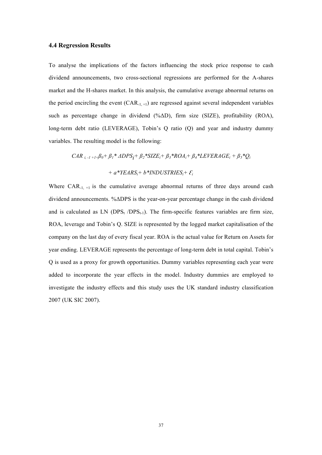#### **4.4 Regression Results**

To analyse the implications of the factors influencing the stock price response to cash dividend announcements, two cross-sectional regressions are performed for the A-shares market and the H-shares market. In this analysis, the cumulative average abnormal returns on the period encircling the event  $(CAR_{-1,+1})$  are regressed against several independent variables such as percentage change in dividend (%ΔD), firm size (SIZE), profitability (ROA), long-term debt ratio (LEVERAGE), Tobin's Q ratio (Q) and year and industry dummy variables. The resulting model is the following:

 $CAR_{i, -1 + 1} \beta_0 + \beta_1 * \Delta DPS_i + \beta_2 * SIZE_i + \beta_3 * ROA_i + \beta_4 * LEVERAGE_i + \beta_5 * Q_i$  $+ a^*YEARS_i + b^*INDUSTRIES_i + \mathcal{E}_i$ 

Where  $CAR_{-1,+1}$  is the cumulative average abnormal returns of three days around cash dividend announcements. %ΔDPS is the year-on-year percentage change in the cash dividend and is calculated as LN  $(DPS<sub>t</sub>/DPS<sub>t-1</sub>)$ . The firm-specific features variables are firm size, ROA, leverage and Tobin's Q. SIZE is represented by the logged market capitalisation of the company on the last day of every fiscal year. ROA is the actual value for Return on Assets for year ending. LEVERAGE represents the percentage of long-term debt in total capital. Tobin's Q is used as a proxy for growth opportunities. Dummy variables representing each year were added to incorporate the year effects in the model. Industry dummies are employed to investigate the industry effects and this study uses the UK standard industry classification 2007 (UK SIC 2007).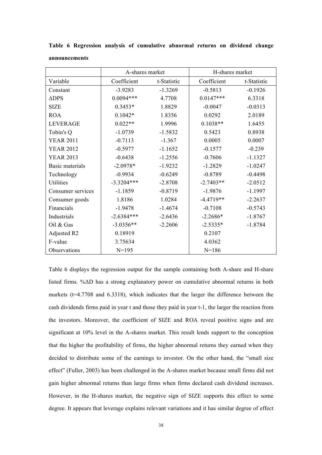|                   | A-shares market |             | H-shares market |             |  |
|-------------------|-----------------|-------------|-----------------|-------------|--|
| Variable          | Coefficient     | t-Statistic | Coefficient     | t-Statistic |  |
| Constant          | $-3.9283$       | $-1.3269$   | $-0.5813$       | $-0.1926$   |  |
| $\triangle$ DPS   | $0.0094***$     | 4.7708      | $0.0147***$     | 6.3318      |  |
| <b>SIZE</b>       | $0.3453*$       | 1.8829      | $-0.0047$       | $-0.0313$   |  |
| <b>ROA</b>        | $0.1042*$       | 1.8356      | 0.0292          | 2.0189      |  |
| <b>LEVERAGE</b>   | $0.022**$       | 1.9996      | $0.1038**$      | 1.6455      |  |
| Tobin's Q         | $-1.0739$       | $-1.5832$   | 0.5423          | 0.8938      |  |
| <b>YEAR 2011</b>  | $-0.7113$       | $-1.367$    | 0.0005          | 0.0007      |  |
| <b>YEAR 2012</b>  | $-0.5977$       | $-1.1652$   | $-0.1577$       | $-0.239$    |  |
| <b>YEAR 2013</b>  | $-0.6438$       | $-1.2556$   | $-0.7606$       | $-1.1327$   |  |
| Basic materials   | $-2.0978*$      | $-1.9232$   | $-1.2829$       | $-1.0247$   |  |
| Technology        | $-0.9934$       | $-0.6249$   | $-0.8789$       | $-0.4498$   |  |
| Utilities         | $-3.3204***$    | $-2.8708$   | $-2.7403**$     | $-2.0512$   |  |
| Consumer services | $-1.1859$       | $-0.8719$   | $-1.9876$       | $-1.1997$   |  |
| Consumer goods    | 1.8186          | 1.0284      | $-4.4719**$     | $-2.2637$   |  |
| Financials        | $-1.9478$       | $-1.4674$   | $-0.7108$       | $-0.5743$   |  |
| Industrials       | $-2.6384***$    | $-2.6436$   | $-2.2686*$      | $-1.8767$   |  |
| Oil & Gas         | $-3.0356**$     | $-2.2606$   | $-2.5335*$      | $-1.8784$   |  |
| Adjusted R2       | 0.18919         |             | 0.2107          |             |  |
| F-value           | 3.75634         |             | 4.0362          |             |  |
| Observations      | $N = 195$       |             | $N = 186$       |             |  |

**Table 6 Regression analysis of cumulative abnormal returns on dividend change announcements**

Table 6 displays the regression output for the sample containing both A-share and H-share listed firms. %ΔD has a strong explanatory power on cumulative abnormal returns in both markets (t=4.7708 and 6.3318), which indicates that the larger the difference between the cash dividends firms paid in year t and those they paid in year t-1, the larger the reaction from the investors. Moreover, the coefficient of SIZE and ROA reveal positive signs and are significant at 10% level in the A-shares market. This result lends support to the conception that the higher the profitability of firms, the higher abnormal returns they earned when they decided to distribute some of the earnings to investor. On the other hand, the "small size effect" (Fuller, 2003) has been challenged in the A-shares market because small firms did not gain higher abnormal returns than large firms when firms declared cash dividend increases. However, in the H-shares market, the negative sign of SIZE supports this effect to some degree. It appears that leverage explains relevant variations and it has similar degree of effect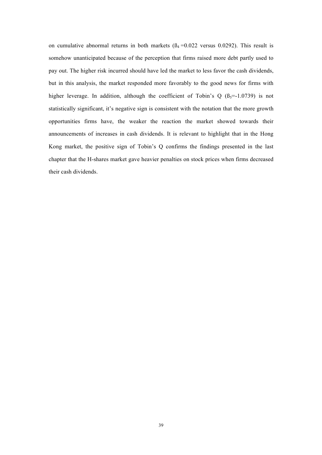on cumulative abnormal returns in both markets  $(\beta_4 = 0.022 \text{ versus } 0.0292)$ . This result is somehow unanticipated because of the perception that firms raised more debt partly used to pay out. The higher risk incurred should have led the market to less favor the cash dividends, but in this analysis, the market responded more favorably to the good news for firms with higher leverage. In addition, although the coefficient of Tobin's Q  $(\beta_5=1.0739)$  is not statistically significant, it's negative sign is consistent with the notation that the more growth opportunities firms have, the weaker the reaction the market showed towards their announcements of increases in cash dividends. It is relevant to highlight that in the Hong Kong market, the positive sign of Tobin's Q confirms the findings presented in the last chapter that the H-shares market gave heavier penalties on stock prices when firms decreased their cash dividends.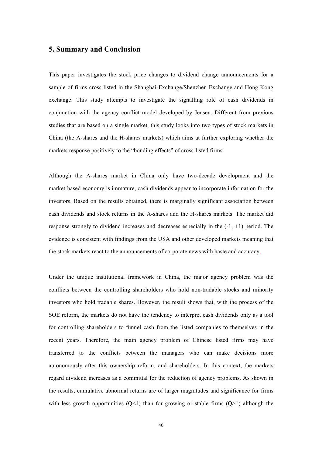## **5. Summary and Conclusion**

This paper investigates the stock price changes to dividend change announcements for a sample of firms cross-listed in the Shanghai Exchange/Shenzhen Exchange and Hong Kong exchange. This study attempts to investigate the signalling role of cash dividends in conjunction with the agency conflict model developed by Jensen. Different from previous studies that are based on a single market, this study looks into two types of stock markets in China (the A-shares and the H-shares markets) which aims at further exploring whether the markets response positively to the "bonding effects" of cross-listed firms.

Although the A-shares market in China only have two-decade development and the market-based economy is immature, cash dividends appear to incorporate information for the investors. Based on the results obtained, there is marginally significant association between cash dividends and stock returns in the A-shares and the H-shares markets. The market did response strongly to dividend increases and decreases especially in the  $(-1, +1)$  period. The evidence is consistent with findings from the USA and other developed markets meaning that the stock markets react to the announcements of corporate news with haste and accuracy.

Under the unique institutional framework in China, the major agency problem was the conflicts between the controlling shareholders who hold non-tradable stocks and minority investors who hold tradable shares. However, the result shows that, with the process of the SOE reform, the markets do not have the tendency to interpret cash dividends only as a tool for controlling shareholders to funnel cash from the listed companies to themselves in the recent years. Therefore, the main agency problem of Chinese listed firms may have transferred to the conflicts between the managers who can make decisions more autonomously after this ownership reform, and shareholders. In this context, the markets regard dividend increases as a committal for the reduction of agency problems. As shown in the results, cumulative abnormal returns are of larger magnitudes and significance for firms with less growth opportunities  $(Q<1)$  than for growing or stable firms  $(Q>1)$  although the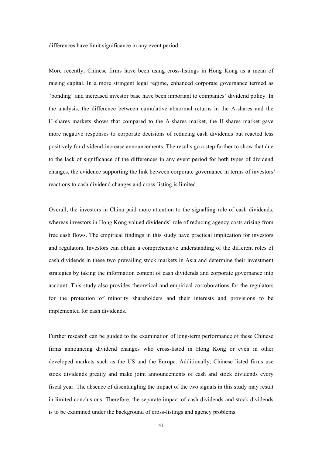differences have limit significance in any event period.

More recently, Chinese firms have been using cross-listings in Hong Kong as a mean of raising capital. In a more stringent legal regime, enhanced corporate governance termed as "bonding" and increased investor base have been important to companies' dividend policy. In the analysis, the difference between cumulative abnormal returns in the A-shares and the H-shares markets shows that compared to the A-shares market, the H-shares market gave more negative responses to corporate decisions of reducing cash dividends but reacted less positively for dividend-increase announcements. The results go a step further to show that due to the lack of significance of the differences in any event period for both types of dividend changes, the evidence supporting the link between corporate governance in terms of investors' reactions to cash dividend changes and cross-listing is limited.

Overall, the investors in China paid more attention to the signalling role of cash dividends, whereas investors in Hong Kong valued dividends' role of reducing agency costs arising from free cash flows. The empirical findings in this study have practical implication for investors and regulators. Investors can obtain a comprehensive understanding of the different roles of cash dividends in these two prevailing stock markets in Asia and determine their investment strategies by taking the information content of cash dividends and corporate governance into account. This study also provides theoretical and empirical corroborations for the regulators for the protection of minority shareholders and their interests and provisions to be implemented for cash dividends.

Further research can be guided to the examination of long-term performance of these Chinese firms announcing dividend changes who cross-listed in Hong Kong or even in other developed markets such as the US and the Europe. Additionally, Chinese listed firms use stock dividends greatly and make joint announcements of cash and stock dividends every fiscal year. The absence of disentangling the impact of the two signals in this study may result in limited conclusions. Therefore, the separate impact of cash dividends and stock dividends is to be examined under the background of cross-listings and agency problems.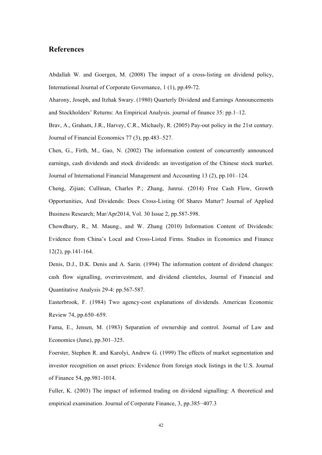## **References**

Abdallah W. and Goergen, M. (2008) The impact of a cross-listing on dividend policy, International Journal of Corporate Governance, 1 (1), pp.49-72.

Aharony, Joseph, and Itzhak Swary. (1980) Quarterly Dividend and Earnings Announcements and Stockholders' Returns: An Empirical Analysis. journal of finance 35: pp.1–12.

Brav, A., Graham, J.R., Harvey, C.R., Michaely, R. (2005) Pay-out policy in the 21st century. Journal of Financial Economics 77 (3), pp.483–527.

Chen, G., Firth, M., Gao, N. (2002) The information content of concurrently announced earnings, cash dividends and stock dividends: an investigation of the Chinese stock market. Journal of International Financial Management and Accounting 13 (2), pp.101–124.

Cheng, Zijian; Cullinan, Charles P.; Zhang, Junrui. (2014) Free Cash Flow, Growth Opportunities, And Dividends: Does Cross-Listing Of Shares Matter? Journal of Applied Business Research; Mar/Apr2014, Vol. 30 Issue 2, pp.587-598.

Chowdhury, R., M. Maung., and W. Zhang (2010) Information Content of Dividends: Evidence from China's Local and Cross-Listed Firms. Studies in Economics and Finance 12(2), pp.141-164.

Denis, D.J., D.K. Denis and A. Sarin. (1994) The information content of dividend changes: cash flow signalling, overinvestment, and dividend clienteles, Journal of Financial and Quantitative Analysis 29-4: pp.567-587.

Easterbrook, F. (1984) Two agency-cost explanations of dividends. American Economic Review 74, pp.650–659.

Fama, E., Jensen, M. (1983) Separation of ownership and control. Journal of Law and Economics (June), pp.301–325.

Foerster, Stephen R. and Karolyi, Andrew G. (1999) The effects of market segmentation and investor recognition on asset prices: Evidence from foreign stock listings in the U.S. Journal of Finance 54, pp.981-1014.

Fuller, K. (2003) The impact of informed trading on dividend signalling: A theoretical and empirical examination. Journal of Corporate Finance, 3, pp.385−407.3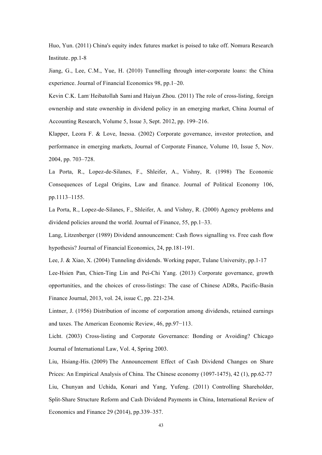Huo, Yun. (2011) China's equity index futures market is poised to take off. Nomura Research Institute. pp.1-8

Jiang, G., Lee, C.M., Yue, H. (2010) Tunnelling through inter-corporate loans: the China experience. Journal of Financial Economics 98, pp.1–20.

Kevin C.K. Lam Heibatollah Sami and Haiyan Zhou. (2011) The role of cross-listing, foreign ownership and state ownership in dividend policy in an emerging market, China Journal of Accounting Research, Volume 5, Issue 3, Sept. 2012, pp. 199–216.

Klapper, Leora F. & Love, Inessa. (2002) Corporate governance, investor protection, and performance in emerging markets, Journal of Corporate Finance, Volume 10, Issue 5, Nov. 2004, pp. 703–728.

La Porta, R., Lopez-de-Silanes, F., Shleifer, A., Vishny, R. (1998) The Economic Consequences of Legal Origins, Law and finance. Journal of Political Economy 106, pp.1113–1155.

La Porta, R., Lopez-de-Silanes, F., Shleifer, A. and Vishny, R. (2000) Agency problems and dividend policies around the world. Journal of Finance, 55, pp.1–33.

Lang, Litzenberger (1989) Dividend announcement: Cash flows signalling vs. Free cash flow hypothesis? Journal of Financial Economics, 24, pp.181-191.

Lee, J. & Xiao, X. (2004) Tunneling dividends. Working paper, Tulane University, pp.1-17

Lee-Hsien Pan, Chien-Ting Lin and Pei-Chi Yang. (2013) Corporate governance, growth opportunities, and the choices of cross-listings: The case of Chinese ADRs, Pacific-Basin Finance Journal, 2013, vol. 24, issue C, pp. 221-234.

Lintner, J. (1956) Distribution of income of corporation among dividends, retained earnings and taxes. The American Economic Review, 46, pp.97−113.

Licht. (2003) Cross-listing and Corporate Governance: Bonding or Avoiding? Chicago Journal of International Law, Vol. 4, Spring 2003.

Liu, Hsiang-His. (2009) The Announcement Effect of Cash Dividend Changes on Share Prices: An Empirical Analysis of China. The Chinese economy (1097-1475), 42 (1), pp.62-77 Liu, Chunyan and Uchida, Konari and Yang, Yufeng. (2011) Controlling Shareholder, Split-Share Structure Reform and Cash Dividend Payments in China, International Review of Economics and Finance 29 (2014), pp.339–357.